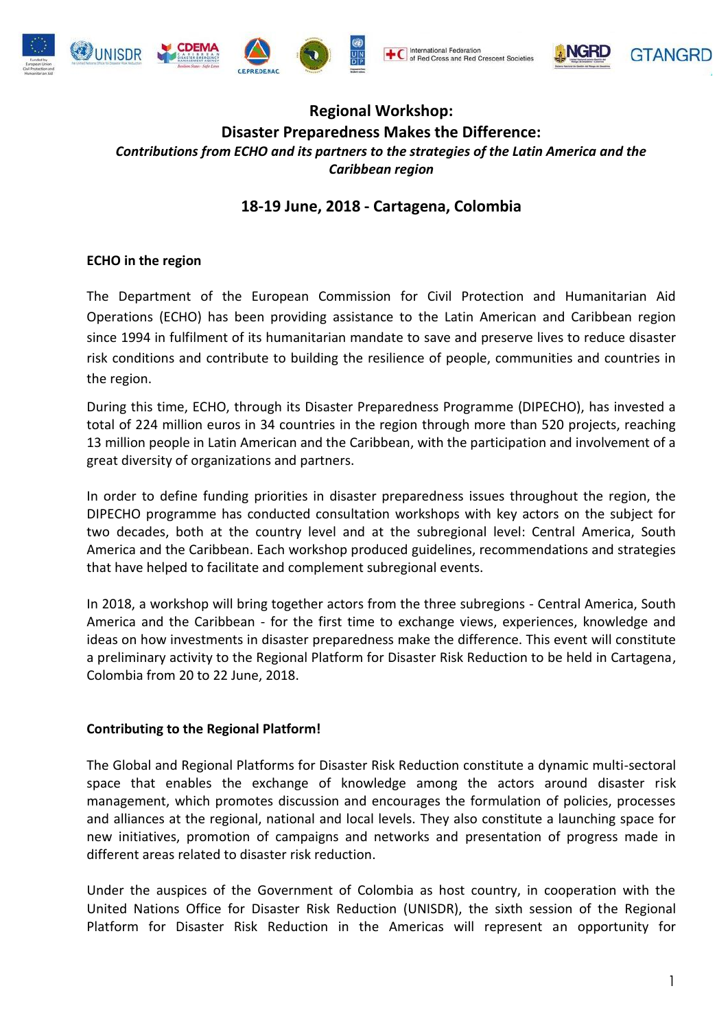







# **Regional Workshop: Disaster Preparedness Makes the Difference:** *Contributions from ECHO and its partners to the strategies of the Latin America and the Caribbean region*

# **18-19 June, 2018 - Cartagena, Colombia**

### **ECHO in the region**

The Department of the European Commission for Civil Protection and Humanitarian Aid Operations (ECHO) has been providing assistance to the Latin American and Caribbean region since 1994 in fulfilment of its humanitarian mandate to save and preserve lives to reduce disaster risk conditions and contribute to building the resilience of people, communities and countries in the region.

During this time, ECHO, through its Disaster Preparedness Programme (DIPECHO), has invested a total of 224 million euros in 34 countries in the region through more than 520 projects, reaching 13 million people in Latin American and the Caribbean, with the participation and involvement of a great diversity of organizations and partners.

In order to define funding priorities in disaster preparedness issues throughout the region, the DIPECHO programme has conducted consultation workshops with key actors on the subject for two decades, both at the country level and at the subregional level: Central America, South America and the Caribbean. Each workshop produced guidelines, recommendations and strategies that have helped to facilitate and complement subregional events.

In 2018, a workshop will bring together actors from the three subregions - Central America, South America and the Caribbean - for the first time to exchange views, experiences, knowledge and ideas on how investments in disaster preparedness make the difference. This event will constitute a preliminary activity to the Regional Platform for Disaster Risk Reduction to be held in Cartagena, Colombia from 20 to 22 June, 2018.

#### **Contributing to the Regional Platform!**

The Global and Regional Platforms for Disaster Risk Reduction constitute a dynamic multi-sectoral space that enables the exchange of knowledge among the actors around disaster risk management, which promotes discussion and encourages the formulation of policies, processes and alliances at the regional, national and local levels. They also constitute a launching space for new initiatives, promotion of campaigns and networks and presentation of progress made in different areas related to disaster risk reduction.

Under the auspices of the Government of Colombia as host country, in cooperation with the United Nations Office for Disaster Risk Reduction (UNISDR), the sixth session of the Regional Platform for Disaster Risk Reduction in the Americas will represent an opportunity for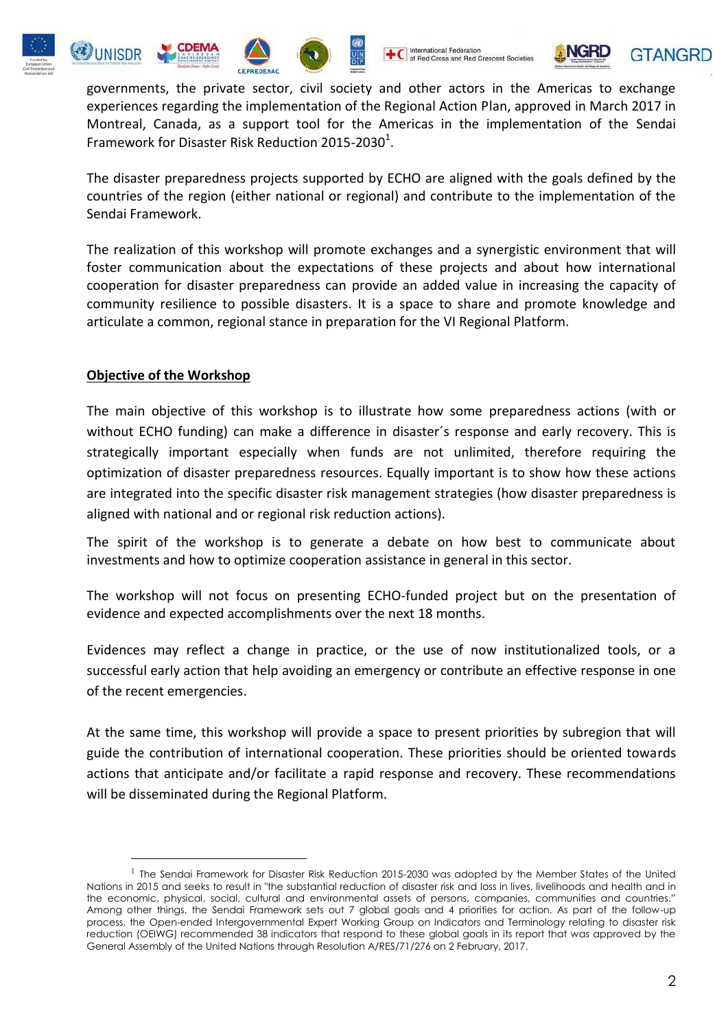







governments, the private sector, civil society and other actors in the Americas to exchange experiences regarding the implementation of the Regional Action Plan, approved in March 2017 in Montreal, Canada, as a support tool for the Americas in the implementation of the Sendai Framework for Disaster Risk Reduction 2015-2030 $^1$ .

The disaster preparedness projects supported by ECHO are aligned with the goals defined by the countries of the region (either national or regional) and contribute to the implementation of the Sendai Framework.

The realization of this workshop will promote exchanges and a synergistic environment that will foster communication about the expectations of these projects and about how international cooperation for disaster preparedness can provide an added value in increasing the capacity of community resilience to possible disasters. It is a space to share and promote knowledge and articulate a common, regional stance in preparation for the VI Regional Platform.

#### **Objective of the Workshop**

1

The main objective of this workshop is to illustrate how some preparedness actions (with or without ECHO funding) can make a difference in disaster´s response and early recovery. This is strategically important especially when funds are not unlimited, therefore requiring the optimization of disaster preparedness resources. Equally important is to show how these actions are integrated into the specific disaster risk management strategies (how disaster preparedness is aligned with national and or regional risk reduction actions).

The spirit of the workshop is to generate a debate on how best to communicate about investments and how to optimize cooperation assistance in general in this sector.

The workshop will not focus on presenting ECHO-funded project but on the presentation of evidence and expected accomplishments over the next 18 months.

Evidences may reflect a change in practice, or the use of now institutionalized tools, or a successful early action that help avoiding an emergency or contribute an effective response in one of the recent emergencies.

At the same time, this workshop will provide a space to present priorities by subregion that will guide the contribution of international cooperation. These priorities should be oriented towards actions that anticipate and/or facilitate a rapid response and recovery. These recommendations will be disseminated during the Regional Platform.

<sup>&</sup>lt;sup>1</sup> The Sendai Framework for Disaster Risk Reduction 2015-2030 was adopted by the Member States of the United Nations in 2015 and seeks to result in "the substantial reduction of disaster risk and loss in lives, livelihoods and health and in the economic, physical, social, cultural and environmental assets of persons, companies, communities and countries." Among other things, the Sendai Framework sets out 7 global goals and 4 priorities for action. As part of the follow-up process, the Open-ended Intergovernmental Expert Working Group on Indicators and Terminology relating to disaster risk reduction (OEIWG) recommended 38 indicators that respond to these global goals in its report that was approved by the General Assembly of the United Nations through Resolution A/RES/71/276 on 2 February, 2017.